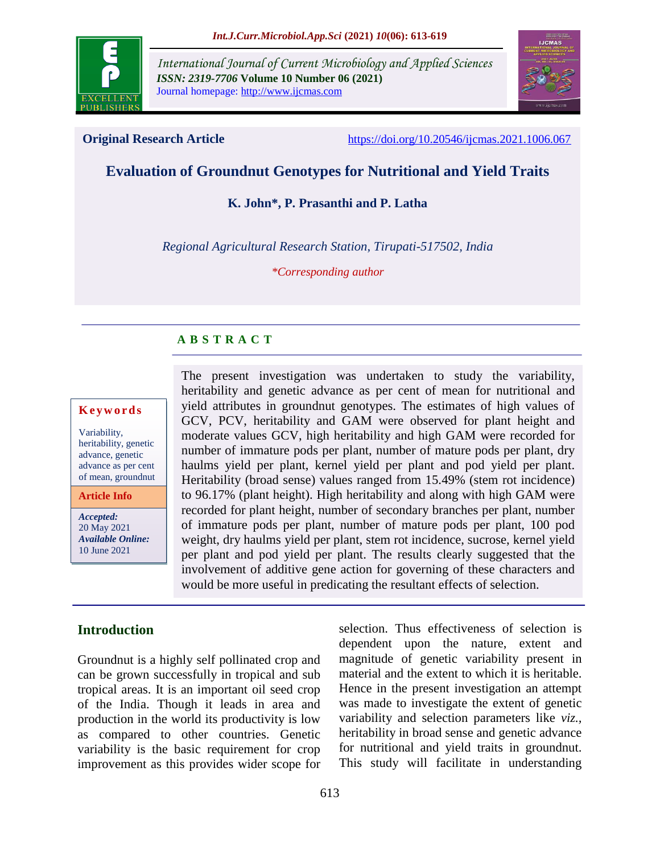

*International Journal of Current Microbiology and Applied Sciences ISSN: 2319-7706* **Volume 10 Number 06 (2021)**  Journal homepage: http://www.ijcmas.com



**Original Research Article** <https://doi.org/10.20546/ijcmas.2021.1006.067>

# **Evaluation of Groundnut Genotypes for Nutritional and Yield Traits**

**K. John\*, P. Prasanthi and P. Latha**

*Regional Agricultural Research Station, Tirupati-517502, India*

*\*Corresponding author*

#### **A B S T R A C T**

#### **K e y w o r d s**

Variability, heritability, genetic advance, genetic advance as per cent of mean, groundnut

**Article Info**

*Accepted:*  20 May 2021 *Available Online:* 10 June 2021

The present investigation was undertaken to study the variability, heritability and genetic advance as per cent of mean for nutritional and yield attributes in groundnut genotypes. The estimates of high values of GCV, PCV, heritability and GAM were observed for plant height and moderate values GCV, high heritability and high GAM were recorded for number of immature pods per plant, number of mature pods per plant, dry haulms yield per plant, kernel yield per plant and pod yield per plant. Heritability (broad sense) values ranged from 15.49% (stem rot incidence) to 96.17% (plant height). High heritability and along with high GAM were recorded for plant height, number of secondary branches per plant, number of immature pods per plant, number of mature pods per plant, 100 pod weight, dry haulms yield per plant, stem rot incidence, sucrose, kernel yield per plant and pod yield per plant. The results clearly suggested that the involvement of additive gene action for governing of these characters and would be more useful in predicating the resultant effects of selection.

## **Introduction**

Groundnut is a highly self pollinated crop and can be grown successfully in tropical and sub tropical areas. It is an important oil seed crop of the India. Though it leads in area and production in the world its productivity is low as compared to other countries. Genetic variability is the basic requirement for crop improvement as this provides wider scope for selection. Thus effectiveness of selection is dependent upon the nature, extent and magnitude of genetic variability present in material and the extent to which it is heritable. Hence in the present investigation an attempt was made to investigate the extent of genetic variability and selection parameters like *viz.,* heritability in broad sense and genetic advance for nutritional and yield traits in groundnut. This study will facilitate in understanding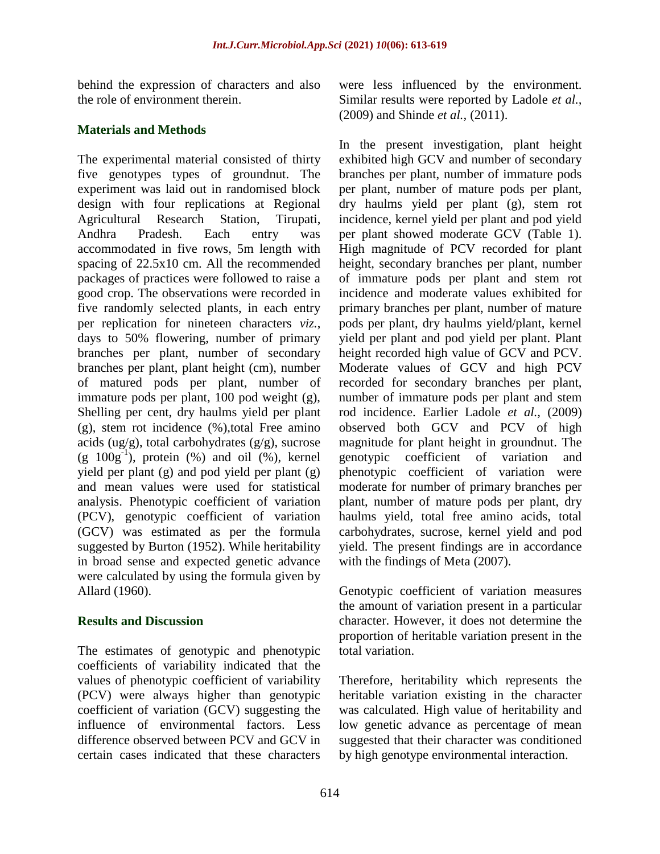behind the expression of characters and also the role of environment therein.

## **Materials and Methods**

The experimental material consisted of thirty five genotypes types of groundnut. The experiment was laid out in randomised block design with four replications at Regional Agricultural Research Station, Tirupati, Andhra Pradesh. Each entry was accommodated in five rows, 5m length with spacing of 22.5x10 cm. All the recommended packages of practices were followed to raise a good crop. The observations were recorded in five randomly selected plants, in each entry per replication for nineteen characters *viz.*, days to 50% flowering, number of primary branches per plant, number of secondary branches per plant, plant height (cm), number of matured pods per plant, number of immature pods per plant, 100 pod weight (g), Shelling per cent, dry haulms yield per plant (g), stem rot incidence (%),total Free amino acids (ug/g), total carbohydrates  $(g/g)$ , sucrose  $(g 100g<sup>-1</sup>)$ , protein  $(\%)$  and oil  $(\%)$ , kernel yield per plant (g) and pod yield per plant (g) and mean values were used for statistical analysis. Phenotypic coefficient of variation (PCV), genotypic coefficient of variation (GCV) was estimated as per the formula suggested by Burton (1952). While heritability in broad sense and expected genetic advance were calculated by using the formula given by Allard (1960).

## **Results and Discussion**

The estimates of genotypic and phenotypic coefficients of variability indicated that the values of phenotypic coefficient of variability (PCV) were always higher than genotypic coefficient of variation (GCV) suggesting the influence of environmental factors. Less difference observed between PCV and GCV in certain cases indicated that these characters

were less influenced by the environment. Similar results were reported by Ladole *et al.,* (2009) and Shinde *et al.,* (2011).

In the present investigation, plant height exhibited high GCV and number of secondary branches per plant, number of immature pods per plant, number of mature pods per plant, dry haulms yield per plant (g), stem rot incidence, kernel yield per plant and pod yield per plant showed moderate GCV (Table 1). High magnitude of PCV recorded for plant height, secondary branches per plant, number of immature pods per plant and stem rot incidence and moderate values exhibited for primary branches per plant, number of mature pods per plant, dry haulms yield/plant, kernel yield per plant and pod yield per plant. Plant height recorded high value of GCV and PCV. Moderate values of GCV and high PCV recorded for secondary branches per plant, number of immature pods per plant and stem rod incidence. Earlier Ladole *et al.,* (2009) observed both GCV and PCV of high magnitude for plant height in groundnut. The genotypic coefficient of variation and phenotypic coefficient of variation were moderate for number of primary branches per plant, number of mature pods per plant, dry haulms yield, total free amino acids, total carbohydrates, sucrose, kernel yield and pod yield. The present findings are in accordance with the findings of Meta (2007).

Genotypic coefficient of variation measures the amount of variation present in a particular character. However, it does not determine the proportion of heritable variation present in the total variation.

Therefore, heritability which represents the heritable variation existing in the character was calculated. High value of heritability and low genetic advance as percentage of mean suggested that their character was conditioned by high genotype environmental interaction.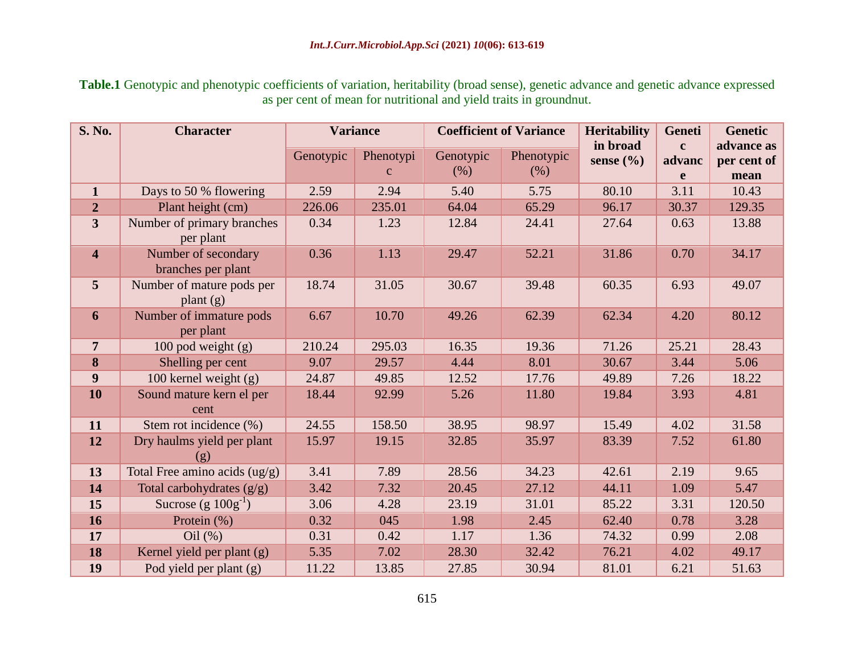**Table.1** Genotypic and phenotypic coefficients of variation, heritability (broad sense), genetic advance and genetic advance expressed as per cent of mean for nutritional and yield traits in groundnut.

| <b>S. No.</b>           | <b>Character</b>                          | <b>Variance</b> |                           | <b>Coefficient of Variance</b> |                    | <b>Heritability</b>       | <b>Geneti</b>               | <b>Genetic</b>                    |
|-------------------------|-------------------------------------------|-----------------|---------------------------|--------------------------------|--------------------|---------------------------|-----------------------------|-----------------------------------|
|                         |                                           | Genotypic       | Phenotypi<br>$\mathbf{C}$ | Genotypic<br>(% )              | Phenotypic<br>(% ) | in broad<br>sense $(\% )$ | $\mathbf{c}$<br>advanc<br>e | advance as<br>per cent of<br>mean |
| $\mathbf{1}$            | Days to 50 % flowering                    | 2.59            | 2.94                      | 5.40                           | 5.75               | 80.10                     | 3.11                        | 10.43                             |
| $\boldsymbol{2}$        | Plant height (cm)                         | 226.06          | 235.01                    | 64.04                          | 65.29              | 96.17                     | 30.37                       | 129.35                            |
| $\overline{\mathbf{3}}$ | Number of primary branches<br>per plant   | 0.34            | 1.23                      | 12.84                          | 24.41              | 27.64                     | 0.63                        | 13.88                             |
| $\overline{\mathbf{4}}$ | Number of secondary<br>branches per plant | 0.36            | 1.13                      | 29.47                          | 52.21              | 31.86                     | 0.70                        | 34.17                             |
| $5\overline{)}$         | Number of mature pods per<br>plant $(g)$  | 18.74           | 31.05                     | 30.67                          | 39.48              | 60.35                     | 6.93                        | 49.07                             |
| 6                       | Number of immature pods<br>per plant      | 6.67            | 10.70                     | 49.26                          | 62.39              | 62.34                     | 4.20                        | 80.12                             |
| $\overline{7}$          | 100 pod weight $(g)$                      | 210.24          | 295.03                    | 16.35                          | 19.36              | 71.26                     | 25.21                       | 28.43                             |
| 8                       | Shelling per cent                         | 9.07            | 29.57                     | 4.44                           | 8.01               | 30.67                     | 3.44                        | 5.06                              |
| 9                       | 100 kernel weight (g)                     | 24.87           | 49.85                     | 12.52                          | 17.76              | 49.89                     | 7.26                        | 18.22                             |
| 10                      | Sound mature kern el per<br>cent          | 18.44           | 92.99                     | 5.26                           | 11.80              | 19.84                     | 3.93                        | 4.81                              |
| 11                      | Stem rot incidence (%)                    | 24.55           | 158.50                    | 38.95                          | 98.97              | 15.49                     | 4.02                        | 31.58                             |
| 12                      | Dry haulms yield per plant<br>(g)         | 15.97           | 19.15                     | 32.85                          | 35.97              | 83.39                     | 7.52                        | 61.80                             |
| 13                      | Total Free amino acids (ug/g)             | 3.41            | 7.89                      | 28.56                          | 34.23              | 42.61                     | 2.19                        | 9.65                              |
| 14                      | Total carbohydrates $(g/g)$               | 3.42            | 7.32                      | 20.45                          | 27.12              | 44.11                     | 1.09                        | 5.47                              |
| 15                      | Sucrose (g $100g^{-1}$ )                  | 3.06            | 4.28                      | 23.19                          | 31.01              | 85.22                     | 3.31                        | 120.50                            |
| 16                      | Protein $(\% )$                           | 0.32            | 045                       | 1.98                           | 2.45               | 62.40                     | 0.78                        | 3.28                              |
| 17                      | Oil(%)                                    | 0.31            | 0.42                      | 1.17                           | 1.36               | 74.32                     | 0.99                        | 2.08                              |
| 18                      | Kernel yield per plant (g)                | 5.35            | 7.02                      | 28.30                          | 32.42              | 76.21                     | 4.02                        | 49.17                             |
| 19                      | Pod yield per plant (g)                   | 11.22           | 13.85                     | 27.85                          | 30.94              | 81.01                     | 6.21                        | 51.63                             |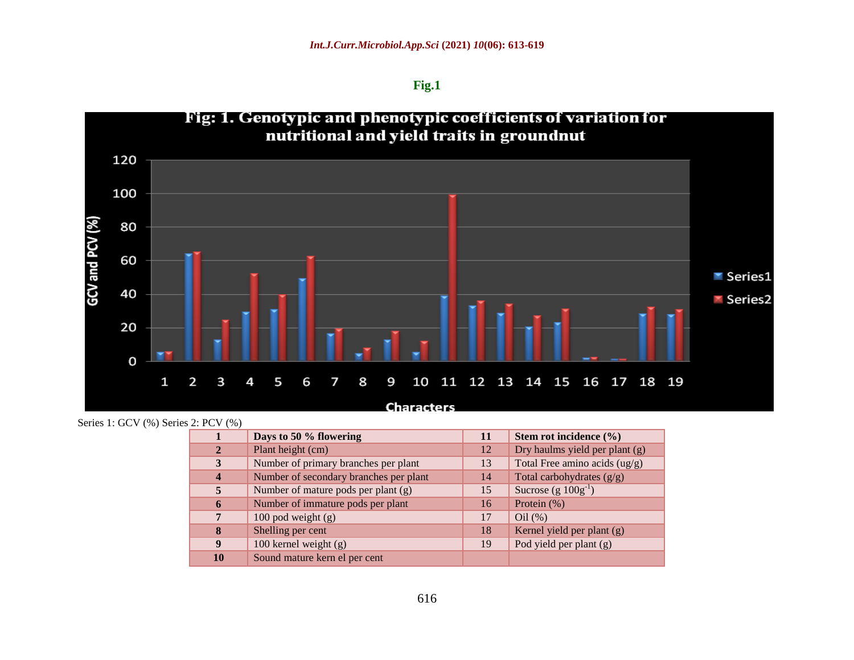**Fig.1**



Series 1: GCV (%) Series 2: PCV (%)

|                  | Days to 50 % flowering                 | 11 | Stem rot incidence $(\% )$      |
|------------------|----------------------------------------|----|---------------------------------|
| $\mathbf{2}$     | Plant height (cm)                      | 12 | Dry haulms yield per plant (g)  |
| 3                | Number of primary branches per plant   | 13 | Total Free amino acids $(ug/g)$ |
| $\boldsymbol{4}$ | Number of secondary branches per plant | 14 | Total carbohydrates $(g/g)$     |
| 5                | Number of mature pods per plant $(g)$  | 15 | Sucrose $(g 100g^{-1})$         |
| 6                | Number of immature pods per plant      | 16 | Protein (%)                     |
| 7                | 100 pod weight $(g)$                   | 17 | Oil(%)                          |
| 8                | Shelling per cent                      | 18 | Kernel yield per plant (g)      |
| 9                | 100 kernel weight (g)                  | 19 | Pod yield per plant (g)         |
| 10               | Sound mature kern el per cent          |    |                                 |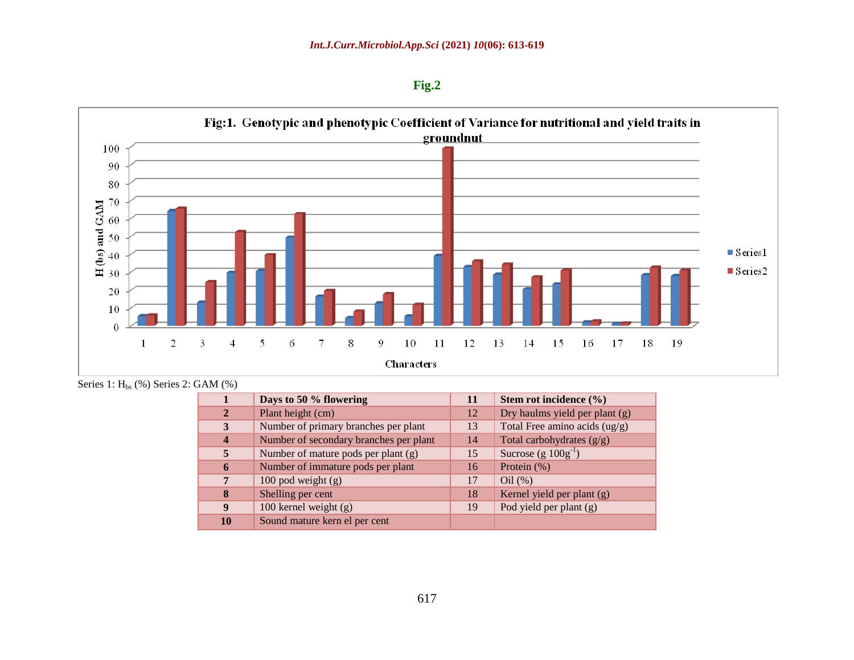**Fig.2** 



Series 1:  $H_{bs}$  (%) Series 2: GAM (%)

| $\mathbf 1$             | Days to 50 % flowering                 | 11 | Stem rot incidence (%)          |
|-------------------------|----------------------------------------|----|---------------------------------|
| $\mathbf{2}$            | Plant height (cm)                      | 12 | Dry haulms yield per plant (g)  |
| 3                       | Number of primary branches per plant   | 13 | Total Free amino acids $(ug/g)$ |
| $\overline{\mathbf{4}}$ | Number of secondary branches per plant | 14 | Total carbohydrates $(g/g)$     |
| $\overline{5}$          | Number of mature pods per plant (g)    | 15 | Sucrose (g $100g^{-1}$ )        |
| 6                       | Number of immature pods per plant      | 16 | Protein (%)                     |
| 7                       | 100 pod weight $(g)$                   | 17 | $Oil$ (%)                       |
| 8                       | Shelling per cent                      | 18 | Kernel yield per plant (g)      |
| 9                       | 100 kernel weight $(g)$                | 19 | Pod yield per plant (g)         |
| 10                      | Sound mature kern el per cent          |    |                                 |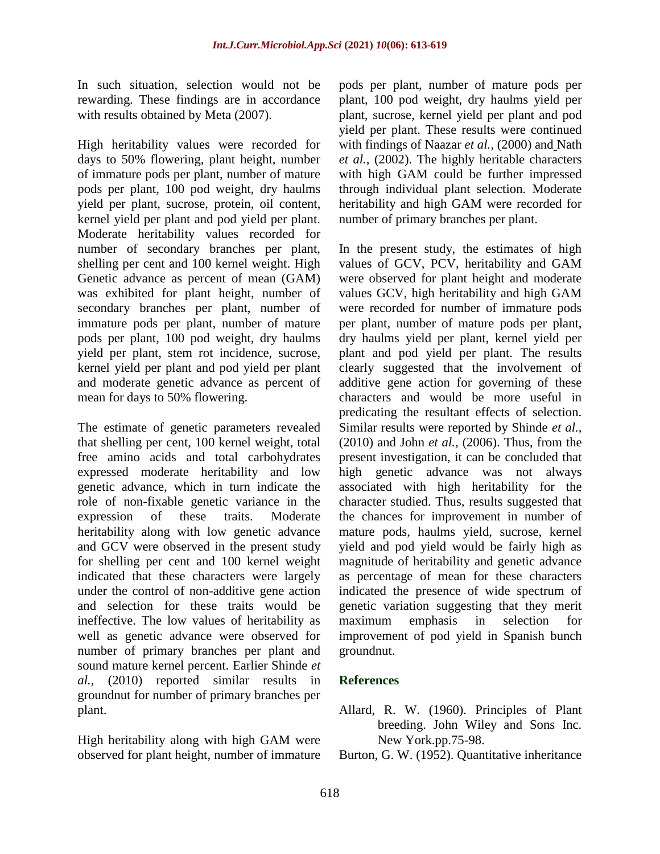In such situation, selection would not be rewarding. These findings are in accordance with results obtained by Meta (2007).

High heritability values were recorded for days to 50% flowering, plant height, number of immature pods per plant, number of mature pods per plant, 100 pod weight, dry haulms yield per plant, sucrose, protein, oil content, kernel yield per plant and pod yield per plant. Moderate heritability values recorded for number of secondary branches per plant, shelling per cent and 100 kernel weight. High Genetic advance as percent of mean (GAM) was exhibited for plant height, number of secondary branches per plant, number of immature pods per plant, number of mature pods per plant, 100 pod weight, dry haulms yield per plant, stem rot incidence, sucrose, kernel yield per plant and pod yield per plant and moderate genetic advance as percent of mean for days to 50% flowering.

The estimate of genetic parameters revealed that shelling per cent, 100 kernel weight, total free amino acids and total carbohydrates expressed moderate heritability and low genetic advance, which in turn indicate the role of non-fixable genetic variance in the expression of these traits. Moderate heritability along with low genetic advance and GCV were observed in the present study for shelling per cent and 100 kernel weight indicated that these characters were largely under the control of non-additive gene action and selection for these traits would be ineffective. The low values of heritability as well as genetic advance were observed for number of primary branches per plant and sound mature kernel percent. Earlier Shinde *et al.,* (2010) reported similar results in groundnut for number of primary branches per plant.

High heritability along with high GAM were observed for plant height, number of immature

pods per plant, number of mature pods per plant, 100 pod weight, dry haulms yield per plant, sucrose, kernel yield per plant and pod yield per plant. These results were continued with findings of Naazar *et al.,* (2000) and Nath *et al.,* (2002). The highly heritable characters with high GAM could be further impressed through individual plant selection. Moderate heritability and high GAM were recorded for number of primary branches per plant.

In the present study, the estimates of high values of GCV, PCV, heritability and GAM were observed for plant height and moderate values GCV, high heritability and high GAM were recorded for number of immature pods per plant, number of mature pods per plant, dry haulms yield per plant, kernel yield per plant and pod yield per plant. The results clearly suggested that the involvement of additive gene action for governing of these characters and would be more useful in predicating the resultant effects of selection. Similar results were reported by Shinde *et al.,* (2010) and John *et al.,* (2006). Thus, from the present investigation, it can be concluded that high genetic advance was not always associated with high heritability for the character studied. Thus, results suggested that the chances for improvement in number of mature pods, haulms yield, sucrose, kernel yield and pod yield would be fairly high as magnitude of heritability and genetic advance as percentage of mean for these characters indicated the presence of wide spectrum of genetic variation suggesting that they merit maximum emphasis in selection for improvement of pod yield in Spanish bunch groundnut.

## **References**

- Allard, R. W. (1960). Principles of Plant breeding. John Wiley and Sons Inc. New York.pp.75-98.
- Burton, G. W. (1952). Quantitative inheritance